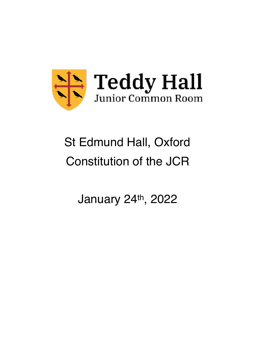

# St Edmund Hall, Oxford Constitution of the JCR

January 24th, 2022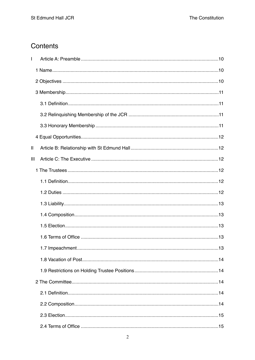# Contents

| L              |  |
|----------------|--|
|                |  |
|                |  |
|                |  |
|                |  |
|                |  |
|                |  |
|                |  |
| Ш              |  |
| $\mathbf{III}$ |  |
|                |  |
|                |  |
|                |  |
|                |  |
|                |  |
|                |  |
|                |  |
|                |  |
|                |  |
|                |  |
|                |  |
|                |  |
|                |  |
|                |  |
|                |  |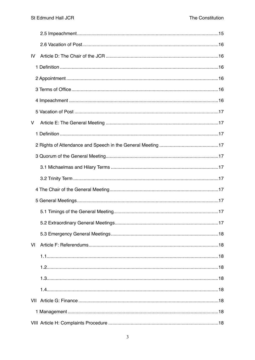| IV |  |
|----|--|
|    |  |
|    |  |
|    |  |
|    |  |
|    |  |
| V  |  |
|    |  |
|    |  |
|    |  |
|    |  |
|    |  |
|    |  |
|    |  |
|    |  |
|    |  |
|    |  |
| VI |  |
|    |  |
|    |  |
|    |  |
|    |  |
|    |  |
|    |  |
|    |  |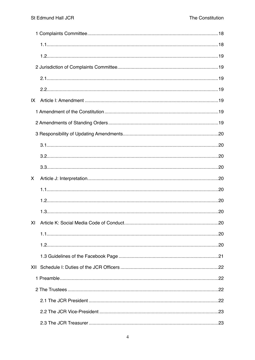| IX  |  |
|-----|--|
|     |  |
|     |  |
|     |  |
|     |  |
|     |  |
|     |  |
| X.  |  |
|     |  |
|     |  |
|     |  |
|     |  |
|     |  |
|     |  |
|     |  |
| XII |  |
|     |  |
|     |  |
|     |  |
|     |  |
|     |  |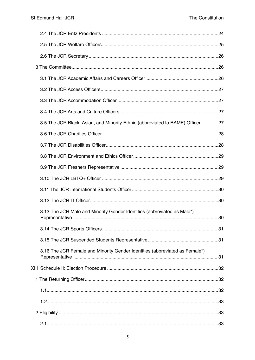|  | 3.5 The JCR Black, Asian, and Minority Ethnic (abbreviated to BAME) Officer 27 |  |
|--|--------------------------------------------------------------------------------|--|
|  |                                                                                |  |
|  |                                                                                |  |
|  |                                                                                |  |
|  |                                                                                |  |
|  |                                                                                |  |
|  |                                                                                |  |
|  |                                                                                |  |
|  | 3.13 The JCR Male and Minority Gender Identities (abbreviated as Male*)        |  |
|  |                                                                                |  |
|  |                                                                                |  |
|  | 3.16 The JCR Female and Minority Gender Identities (abbreviated as Female*)    |  |
|  |                                                                                |  |
|  |                                                                                |  |
|  |                                                                                |  |
|  |                                                                                |  |
|  |                                                                                |  |
|  |                                                                                |  |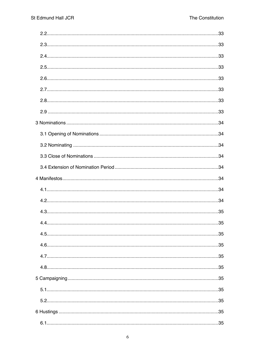| 44 | 35 |
|----|----|
|    |    |
|    |    |
|    |    |
|    |    |
|    |    |
|    |    |
|    |    |
|    |    |
|    |    |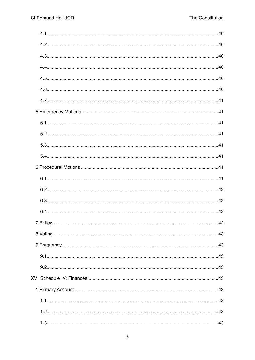| 7 Policy.<br>42 |
|-----------------|
|                 |
|                 |
|                 |
|                 |
|                 |
|                 |
|                 |
|                 |
|                 |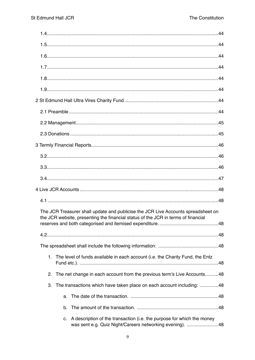|    | The JCR Treasurer shall update and publicise the JCR Live Accounts spreadsheet on<br>the JCR website, presenting the financial status of the JCR in terms of financial |
|----|------------------------------------------------------------------------------------------------------------------------------------------------------------------------|
|    |                                                                                                                                                                        |
|    |                                                                                                                                                                        |
| 1. | The level of funds available in each account (i.e. the Charity Fund, the Entz                                                                                          |
| 2. | The net change in each account from the previous term's Live Accounts48                                                                                                |
| 3. | The transactions which have taken place on each account including: 48                                                                                                  |
| a. |                                                                                                                                                                        |
| b. |                                                                                                                                                                        |
| C. | A description of the transaction (i.e. the purpose for which the money<br>was sent e.g. Quiz Night/Careers networking evening). 48                                     |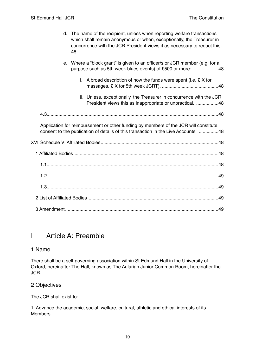d. The name of the recipient, unless when reporting welfare transactions which shall remain anonymous or when, exceptionally, the Treasurer in [concurrence with the JCR President views it as necessary to redact this.](#page-47-11)  48 e. Where a "block grant" is given to an officer/s or JCR member (e.g. for a purpose such as 5th week blues events) of £500 or more: ....................48 i. A broad description of how the funds were spent (i.e. £ X for [massages, £ X for 5th week JCRT\). 48](#page-47-13) ........................................... ii. Unless, exceptionally, the Treasurer in concurrence with the JCR President views this as inappropriate or unpractical. ........................48 [4.3 48](#page-47-15) ................................................................................................................................... Application for reimbursement or other funding by members of the JCR will constitute consent to the publication of details of this transaction in the Live Accounts. ................48 [XVI Schedule V: Affiliated Bodies 48](#page-47-17) .......................................................................................... [1 Affiliated Bodies 48](#page-47-18) ............................................................................................................... [1.1 48](#page-47-19) ................................................................................................................................... [1.2 49](#page-48-0) ................................................................................................................................... [1.3 49](#page-48-1) ................................................................................................................................... [2 List of Affiliated Bodies 49](#page-48-2) .................................................................................................... [3 Amendment 49](#page-48-3) .....................................................................................................................

# <span id="page-9-0"></span>I Article A: Preamble

# <span id="page-9-1"></span>1 Name

There shall be a self-governing association within St Edmund Hall in the University of Oxford, hereinafter The Hall, known as The Aularian Junior Common Room, hereinafter the JCR.

# <span id="page-9-2"></span>2 Objectives

The JCR shall exist to:

1. Advance the academic, social, welfare, cultural, athletic and ethical interests of its Members.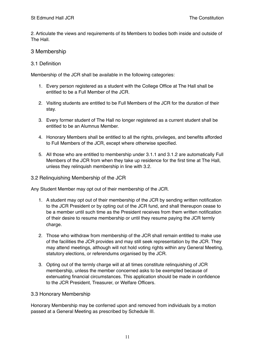2. Articulate the views and requirements of its Members to bodies both inside and outside of The Hall.

# <span id="page-10-0"></span>3 Membership

#### <span id="page-10-1"></span>3.1 Definition

Membership of the JCR shall be available in the following categories:

- 1. Every person registered as a student with the College Office at The Hall shall be entitled to be a Full Member of the JCR.
- 2. Visiting students are entitled to be Full Members of the JCR for the duration of their stay.
- 3. Every former student of The Hall no longer registered as a current student shall be entitled to be an Alumnus Member.
- 4. Honorary Members shall be entitled to all the rights, privileges, and benefits afforded to Full Members of the JCR, except where otherwise specified.
- 5. All those who are entitled to membership under 3.1.1 and 3.1.2 are automatically Full Members of the JCR from when they take up residence for the first time at The Hall, unless they relinquish membership in line with 3.2.

#### <span id="page-10-2"></span>3.2 Relinquishing Membership of the JCR

Any Student Member may opt out of their membership of the JCR.

- 1. A student may opt out of their membership of the JCR by sending written notification to the JCR President or by opting out of the JCR fund, and shall thereupon cease to be a member until such time as the President receives from them written notification of their desire to resume membership or until they resume paying the JCR termly charge.
- 2. Those who withdraw from membership of the JCR shall remain entitled to make use of the facilities the JCR provides and may still seek representation by the JCR. They may attend meetings, although will not hold voting rights within any General Meeting, statutory elections, or referendums organised by the JCR.
- 3. Opting out of the termly charge will at all times constitute relinquishing of JCR membership, unless the member concerned asks to be exempted because of extenuating financial circumstances. This application should be made in confidence to the JCR President, Treasurer, or Welfare Officers.

#### <span id="page-10-3"></span>3.3 Honorary Membership

Honorary Membership may be conferred upon and removed from individuals by a motion passed at a General Meeting as prescribed by Schedule III.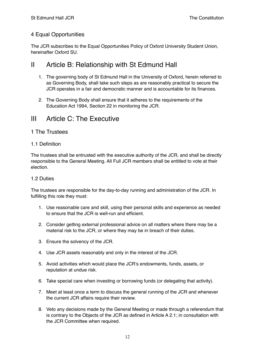# <span id="page-11-0"></span>4 Equal Opportunities

The JCR subscribes to the Equal Opportunities Policy of Oxford University Student Union, hereinafter Oxford SU.

# <span id="page-11-1"></span>II Article B: Relationship with St Edmund Hall

- 1. The governing body of St Edmund Hall in the University of Oxford, herein referred to as Governing Body, shall take such steps as are reasonably practical to secure the JCR operates in a fair and democratic manner and is accountable for its finances.
- 2. The Governing Body shall ensure that it adheres to the requirements of the Education Act 1994, Section 22 in monitoring the JCR.

# <span id="page-11-2"></span>III Article C: The Executive

# <span id="page-11-3"></span>1 The Trustees

#### <span id="page-11-4"></span>1.1 Definition

The trustees shall be entrusted with the executive authority of the JCR, and shall be directly responsible to the General Meeting. All Full JCR members shall be entitled to vote at their election.

#### <span id="page-11-5"></span>1.2 Duties

The trustees are responsible for the day-to-day running and administration of the JCR. In fulfilling this role they must:

- 1. Use reasonable care and skill, using their personal skills and experience as needed to ensure that the JCR is well-run and efficient.
- 2. Consider getting external professional advice on all matters where there may be a material risk to the JCR, or where they may be in breach of their duties.
- 3. Ensure the solvency of the JCR.
- 4. Use JCR assets reasonably and only in the interest of the JCR.
- 5. Avoid activities which would place the JCR's endowments, funds, assets, or reputation at undue risk.
- 6. Take special care when investing or borrowing funds (or delegating that activity).
- 7. Meet at least once a term to discuss the general running of the JCR and whenever the current JCR affairs require their review.
- 8. Veto any decisions made by the General Meeting or made through a referendum that is contrary to the Objects of the JCR as defined in Article A 2.1; in consultation with the JCR Committee when required.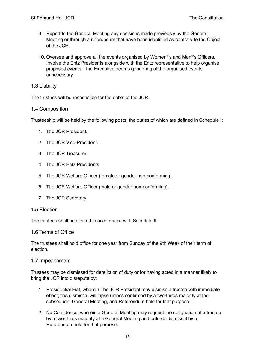- 9. Report to the General Meeting any decisions made previously by the General Meeting or through a referendum that have been identified as contrary to the Object of the JCR.
- 10. Oversee and approve all the events organised by Women\*'s and Men\*'s Officers. Involve the Entz Presidents alongside with the Entz representative to help organise proposed events if the Executive deems gendering of the organised events unnecessary.

#### <span id="page-12-0"></span>1.3 Liability

The trustees will be responsible for the debts of the JCR.

#### <span id="page-12-1"></span>1.4 Composition

Trusteeship will be held by the following posts, the duties of which are defined in Schedule I:

- 1. The JCR President.
- 2. The JCR Vice-President.
- 3. The JCR Treasurer.
- 4. The JCR Entz Presidents
- 5. The JCR Welfare Officer (female or gender non-conforming).
- 6. The JCR Welfare Officer (male or gender non-conforming).
- 7. The JCR Secretary

#### <span id="page-12-2"></span>1.5 Election

The trustees shall be elected in accordance with Schedule II.

#### <span id="page-12-3"></span>1.6 Terms of Office

The trustees shall hold office for one year from Sunday of the 9th Week of their term of election.

#### <span id="page-12-4"></span>1.7 Impeachment

Trustees may be dismissed for dereliction of duty or for having acted in a manner likely to bring the JCR into disrepute by:

- 1. Presidential Fiat, wherein The JCR President may dismiss a trustee with immediate effect; this dismissal will lapse unless confirmed by a two-thirds majority at the subsequent General Meeting, and Referendum held for that purpose.
- 2. No Confidence, wherein a General Meeting may request the resignation of a trustee by a two-thirds majority at a General Meeting and enforce dismissal by a Referendum held for that purpose.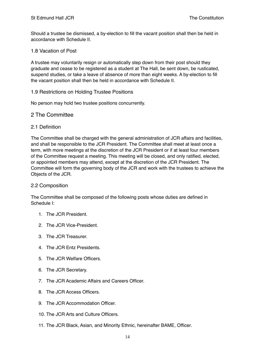Should a trustee be dismissed, a by-election to fill the vacant position shall then be held in accordance with Schedule II.

#### <span id="page-13-0"></span>1.8 Vacation of Post

A trustee may voluntarily resign or automatically step down from their post should they graduate and cease to be registered as a student at The Hall, be sent down, be rusticated, suspend studies, or take a leave of absence of more than eight weeks. A by-election to fill the vacant position shall then be held in accordance with Schedule II.

#### <span id="page-13-1"></span>1.9 Restrictions on Holding Trustee Positions

No person may hold two trustee positions concurrently.

#### <span id="page-13-2"></span>2 The Committee

#### <span id="page-13-3"></span>2.1 Definition

The Committee shall be charged with the general administration of JCR affairs and facilities, and shall be responsible to the JCR President. The Committee shall meet at least once a term, with more meetings at the discretion of the JCR President or if at least four members of the Committee request a meeting. This meeting will be closed, and only ratified, elected, or appointed members may attend, except at the discretion of the JCR President. The Committee will form the governing body of the JCR and work with the trustees to achieve the Objects of the JCR.

#### <span id="page-13-4"></span>2.2 Composition

The Committee shall be composed of the following posts whose duties are defined in Schedule I:

- 1. The JCR President.
- 2. The JCR Vice-President.
- 3. The JCR Treasurer.
- 4. The JCR Entz Presidents.
- 5. The JCR Welfare Officers.
- 6. The JCR Secretary.
- 7. The JCR Academic Affairs and Careers Officer.
- 8. The JCR Access Officers.
- 9. The JCR Accommodation Officer.
- 10. The JCR Arts and Culture Officers.
- 11. The JCR Black, Asian, and Minority Ethnic, hereinafter BAME, Officer.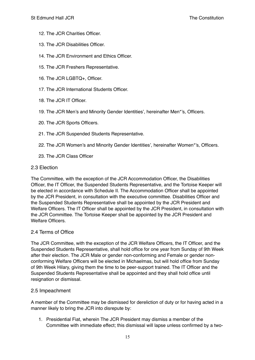- 12. The JCR Charities Officer.
- 13. The JCR Disabilities Officer.
- 14. The JCR Environment and Ethics Officer.
- 15. The JCR Freshers Representative.
- 16. The JCR LGBTQ+, Officer.
- 17. The JCR International Students Officer.
- 18. The JCR IT Officer.
- 19. The JCR Men's and Minority Gender Identities', hereinafter Men\*'s, Officers.
- 20. The JCR Sports Officers.
- 21. The JCR Suspended Students Representative.
- 22. The JCR Women's and Minority Gender Identities', hereinafter Women\*'s, Officers.
- 23. The JCR Class Officer
- <span id="page-14-0"></span>2.3 Election

The Committee, with the exception of the JCR Accommodation Officer, the Disabilities Officer, the IT Officer, the Suspended Students Representative, and the Tortoise Keeper will be elected in accordance with Schedule II. The Accommodation Officer shall be appointed by the JCR President, in consultation with the executive committee. Disabilities Officer and the Suspended Students Representative shall be appointed by the JCR President and Welfare Officers. The IT Officer shall be appointed by the JCR President, in consultation with the JCR Committee. The Tortoise Keeper shall be appointed by the JCR President and Welfare Officers.

#### <span id="page-14-1"></span>2.4 Terms of Office

The JCR Committee, with the exception of the JCR Welfare Officers, the IT Officer, and the Suspended Students Representative, shall hold office for one year from Sunday of 9th Week after their election. The JCR Male or gender non-conforming and Female or gender nonconforming Welfare Officers will be elected in Michaelmas, but will hold office from Sunday of 9th Week Hilary, giving them the time to be peer-support trained. The IT Officer and the Suspended Students Representative shall be appointed and they shall hold office until resignation or dismissal.

# <span id="page-14-2"></span>2.5 Impeachment

A member of the Committee may be dismissed for dereliction of duty or for having acted in a manner likely to bring the JCR into disrepute by:

1. Presidential Fiat, wherein The JCR President may dismiss a member of the Committee with immediate effect; this dismissal will lapse unless confirmed by a two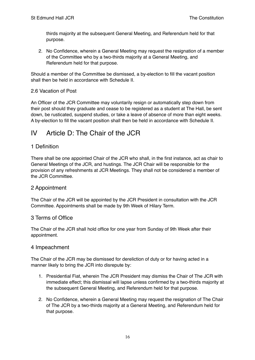thirds majority at the subsequent General Meeting, and Referendum held for that purpose.

2. No Confidence, wherein a General Meeting may request the resignation of a member of the Committee who by a two-thirds majority at a General Meeting, and Referendum held for that purpose.

Should a member of the Committee be dismissed, a by-election to fill the vacant position shall then be held in accordance with Schedule II.

#### <span id="page-15-0"></span>2.6 Vacation of Post

An Officer of the JCR Committee may voluntarily resign or automatically step down from their post should they graduate and cease to be registered as a student at The Hall, be sent down, be rusticated, suspend studies, or take a leave of absence of more than eight weeks. A by-election to fill the vacant position shall then be held in accordance with Schedule II.

# <span id="page-15-1"></span>IV Article D: The Chair of the JCR

# <span id="page-15-2"></span>1 Definition

There shall be one appointed Chair of the JCR who shall, in the first instance, act as chair to General Meetings of the JCR, and hustings. The JCR Chair will be responsible for the provision of any refreshments at JCR Meetings. They shall not be considered a member of the JCR Committee.

# <span id="page-15-3"></span>2 Appointment

The Chair of the JCR will be appointed by the JCR President in consultation with the JCR Committee. Appointments shall be made by 9th Week of Hilary Term.

#### <span id="page-15-4"></span>3 Terms of Office

The Chair of the JCR shall hold office for one year from Sunday of 9th Week after their appointment.

#### <span id="page-15-5"></span>4 Impeachment

The Chair of the JCR may be dismissed for dereliction of duty or for having acted in a manner likely to bring the JCR into disrepute by:

- 1. Presidential Fiat, wherein The JCR President may dismiss the Chair of The JCR with immediate effect; this dismissal will lapse unless confirmed by a two-thirds majority at the subsequent General Meeting, and Referendum held for that purpose.
- 2. No Confidence, wherein a General Meeting may request the resignation of The Chair of The JCR by a two-thirds majority at a General Meeting, and Referendum held for that purpose.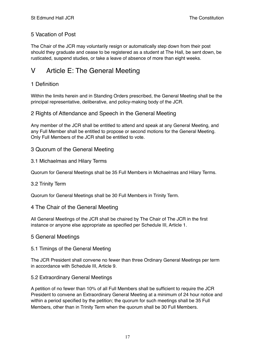# <span id="page-16-0"></span>5 Vacation of Post

The Chair of the JCR may voluntarily resign or automatically step down from their post should they graduate and cease to be registered as a student at The Hall, be sent down, be rusticated, suspend studies, or take a leave of absence of more than eight weeks.

# <span id="page-16-1"></span>V Article E: The General Meeting

# <span id="page-16-2"></span>1 Definition

Within the limits herein and in Standing Orders prescribed, the General Meeting shall be the principal representative, deliberative, and policy-making body of the JCR.

# <span id="page-16-3"></span>2 Rights of Attendance and Speech in the General Meeting

Any member of the JCR shall be entitled to attend and speak at any General Meeting, and any Full Member shall be entitled to propose or second motions for the General Meeting. Only Full Members of the JCR shall be entitled to vote.

# <span id="page-16-4"></span>3 Quorum of the General Meeting

#### <span id="page-16-5"></span>3.1 Michaelmas and Hilary Terms

Quorum for General Meetings shall be 35 Full Members in Michaelmas and Hilary Terms.

#### <span id="page-16-6"></span>3.2 Trinity Term

Quorum for General Meetings shall be 30 Full Members in Trinity Term.

#### <span id="page-16-7"></span>4 The Chair of the General Meeting

All General Meetings of the JCR shall be chaired by The Chair of The JCR in the first instance or anyone else appropriate as specified per Schedule III, Article 1.

#### <span id="page-16-8"></span>5 General Meetings

#### <span id="page-16-9"></span>5.1 Timings of the General Meeting

The JCR President shall convene no fewer than three Ordinary General Meetings per term in accordance with Schedule III, Article 9.

#### <span id="page-16-10"></span>5.2 Extraordinary General Meetings

A petition of no fewer than 10% of all Full Members shall be sufficient to require the JCR President to convene an Extraordinary General Meeting at a minimum of 24 hour notice and within a period specified by the petition; the quorum for such meetings shall be 35 Full Members, other than in Trinity Term when the quorum shall be 30 Full Members.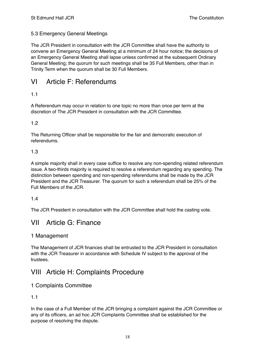# <span id="page-17-0"></span>5.3 Emergency General Meetings

The JCR President in consultation with the JCR Committee shall have the authority to convene an Emergency General Meeting at a minimum of 24 hour notice; the decisions of an Emergency General Meeting shall lapse unless confirmed at the subsequent Ordinary General Meeting; the quorum for such meetings shall be 35 Full Members, other than in Trinity Term when the quorum shall be 30 Full Members.

# <span id="page-17-1"></span>VI Article F: Referendums

# <span id="page-17-2"></span>1.1

A Referendum may occur in relation to one topic no more than once per term at the discretion of The JCR President in consultation with the JCR Committee.

# <span id="page-17-3"></span>1.2

The Returning Officer shall be responsible for the fair and democratic execution of referendums.

#### <span id="page-17-4"></span>1.3

A simple majority shall in every case suffice to resolve any non-spending related referendum issue. A two-thirds majority is required to resolve a referendum regarding any spending. The distinction between spending and non-spending referendums shall be made by the JCR President and the JCR Treasurer. The quorum for such a referendum shall be 25% of the Full Members of the JCR.

# <span id="page-17-5"></span>1.4

The JCR President in consultation with the JCR Committee shall hold the casting vote.

# <span id="page-17-6"></span>VII Article G: Finance

# <span id="page-17-7"></span>1 Management

The Management of JCR finances shall be entrusted to the JCR President in consultation with the JCR Treasurer in accordance with Schedule IV subject to the approval of the trustees.

# <span id="page-17-8"></span>VIII Article H: Complaints Procedure

# <span id="page-17-9"></span>1 Complaints Committee

# <span id="page-17-10"></span>1.1

In the case of a Full Member of the JCR bringing a complaint against the JCR Committee or any of its officers, an ad hoc JCR Complaints Committee shall be established for the purpose of resolving the dispute.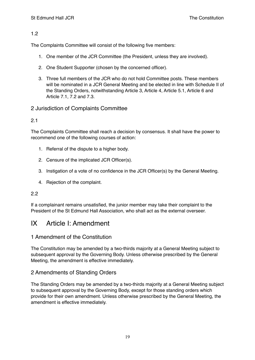<span id="page-18-0"></span>The Complaints Committee will consist of the following five members:

- 1. One member of the JCR Committee (the President, unless they are involved).
- 2. One Student Supporter (chosen by the concerned officer).
- 3. Three full members of the JCR who do not hold Committee posts. These members will be nominated in a JCR General Meeting and be elected in line with Schedule II of the Standing Orders, notwithstanding Article 3, Article 4, Article 5.1, Article 6 and Article 7.1, 7.2 and 7.3.

# <span id="page-18-1"></span>2 Jurisdiction of Complaints Committee

# <span id="page-18-2"></span>2.1

The Complaints Committee shall reach a decision by consensus. It shall have the power to recommend one of the following courses of action:

- 1. Referral of the dispute to a higher body.
- 2. Censure of the implicated JCR Officer(s).
- 3. Instigation of a vote of no confidence in the JCR Officer(s) by the General Meeting.
- 4. Rejection of the complaint.

# <span id="page-18-3"></span>2.2

If a complainant remains unsatisfied, the junior member may take their complaint to the President of the St Edmund Hall Association, who shall act as the external overseer.

# <span id="page-18-4"></span>IX Article I: Amendment

# <span id="page-18-5"></span>1 Amendment of the Constitution

The Constitution may be amended by a two-thirds majority at a General Meeting subject to subsequent approval by the Governing Body. Unless otherwise prescribed by the General Meeting, the amendment is effective immediately.

# <span id="page-18-6"></span>2 Amendments of Standing Orders

The Standing Orders may be amended by a two-thirds majority at a General Meeting subject to subsequent approval by the Governing Body, except for those standing orders which provide for their own amendment. Unless otherwise prescribed by the General Meeting, the amendment is effective immediately.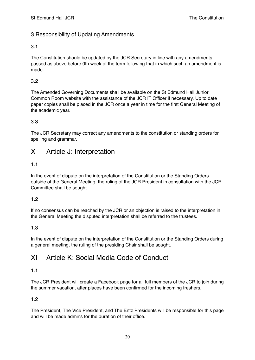# <span id="page-19-0"></span>3 Responsibility of Updating Amendments

# <span id="page-19-1"></span>3.1

The Constitution should be updated by the JCR Secretary in line with any amendments passed as above before 0th week of the term following that in which such an amendment is made.

# <span id="page-19-2"></span>3.2

The Amended Governing Documents shall be available on the St Edmund Hall Junior Common Room website with the assistance of the JCR IT Officer if necessary. Up to date paper copies shall be placed in the JCR once a year in time for the first General Meeting of the academic year.

# <span id="page-19-3"></span>3.3

The JCR Secretary may correct any amendments to the constitution or standing orders for spelling and grammar.

# <span id="page-19-4"></span>X Article J: Interpretation

# <span id="page-19-5"></span>1.1

In the event of dispute on the interpretation of the Constitution or the Standing Orders outside of the General Meeting, the ruling of the JCR President in consultation with the JCR Committee shall be sought.

# <span id="page-19-6"></span>1.2

If no consensus can be reached by the JCR or an objection is raised to the interpretation in the General Meeting the disputed interpretation shall be referred to the trustees.

# <span id="page-19-7"></span>1.3

In the event of dispute on the interpretation of the Constitution or the Standing Orders during a general meeting, the ruling of the presiding Chair shall be sought.

# <span id="page-19-8"></span>XI Article K: Social Media Code of Conduct

# <span id="page-19-9"></span>1.1

The JCR President will create a Facebook page for all full members of the JCR to join during the summer vacation, after places have been confirmed for the incoming freshers.

# <span id="page-19-10"></span>1.2

The President, The Vice President, and The Entz Presidents will be responsible for this page and will be made admins for the duration of their office.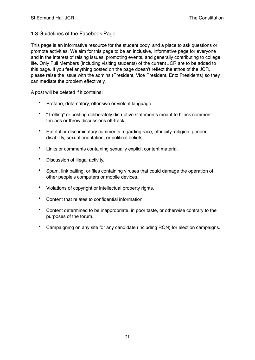#### <span id="page-20-0"></span>1.3 Guidelines of the Facebook Page

This page is an informative resource for the student body, and a place to ask questions or promote activities. We aim for this page to be an inclusive, informative page for everyone and in the interest of raising issues, promoting events, and generally contributing to college life. Only Full Members (including visiting students) of the current JCR are to be added to this page. If you feel anything posted on the page doesn't reflect the ethos of the JCR, please raise the issue with the admins (President, Vice President, Entz Presidents) so they can mediate the problem effectively.

A post will be deleted if it contains:

- Profane, defamatory, offensive or violent language.
- "Trolling" or posting deliberately disruptive statements meant to hijack comment threads or throw discussions off-track.
- Hateful or discriminatory comments regarding race, ethnicity, religion, gender, disability, sexual orientation, or political beliefs.
- Links or comments containing sexually explicit content material.
- Discussion of illegal activity.
- Spam, link baiting, or files containing viruses that could damage the operation of other people's computers or mobile devices.
- Violations of copyright or intellectual property rights.
- Content that relates to confidential information.
- Content determined to be inappropriate, in poor taste, or otherwise contrary to the purposes of the forum.
- Campaigning on any site for any candidate (including RON) for election campaigns.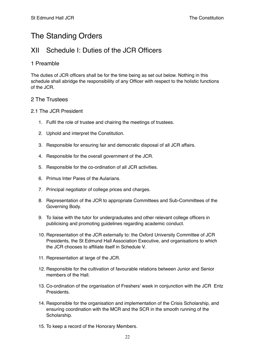# The Standing Orders

# <span id="page-21-0"></span>XII Schedule I: Duties of the JCR Officers

# <span id="page-21-1"></span>1 Preamble

The duties of JCR officers shall be for the time being as set out below. Nothing in this schedule shall abridge the responsibility of any Officer with respect to the holistic functions of the JCR.

# <span id="page-21-2"></span>2 The Trustees

#### <span id="page-21-3"></span>2.1 The JCR President

- 1. Fulfil the role of trustee and chairing the meetings of trustees.
- 2. Uphold and interpret the Constitution.
- 3. Responsible for ensuring fair and democratic disposal of all JCR affairs.
- 4. Responsible for the overall government of the JCR.
- 5. Responsible for the co-ordination of all JCR activities.
- 6. Primus Inter Pares of the Aularians.
- 7. Principal negotiator of college prices and charges.
- 8. Representation of the JCR to appropriate Committees and Sub-Committees of the Governing Body.
- 9. To liaise with the tutor for undergraduates and other relevant college officers in publicising and promoting guidelines regarding academic conduct.
- 10. Representation of the JCR externally to: the Oxford University Committee of JCR Presidents, the St Edmund Hall Association Executive, and organisations to which the JCR chooses to affiliate itself in Schedule V.
- 11. Representation at large of the JCR.
- 12. Responsible for the cultivation of favourable relations between Junior and Senior members of the Hall
- 13. Co-ordination of the organisation of Freshers' week in conjunction with the JCR Entz Presidents.
- 14. Responsible for the organisation and implementation of the Crisis Scholarship, and ensuring coordination with the MCR and the SCR in the smooth running of the Scholarship.
- 15. To keep a record of the Honorary Members.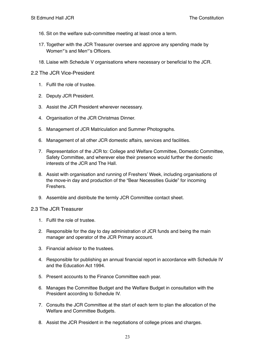- 16. Sit on the welfare sub-committee meeting at least once a term.
- 17. Together with the JCR Treasurer oversee and approve any spending made by Women\*'s and Men\*'s Officers.
- 18. Liaise with Schedule V organisations where necessary or beneficial to the JCR.
- <span id="page-22-0"></span>2.2 The JCR Vice-President
	- 1. Fulfil the role of trustee.
	- 2. Deputy JCR President.
	- 3. Assist the JCR President wherever necessary.
	- 4. Organisation of the JCR Christmas Dinner.
	- 5. Management of JCR Matriculation and Summer Photographs.
	- 6. Management of all other JCR domestic affairs, services and facilities.
	- 7. Representation of the JCR to: College and Welfare Committee, Domestic Committee, Safety Committee, and wherever else their presence would further the domestic interests of the JCR and The Hall.
	- 8. Assist with organisation and running of Freshers' Week, including organisations of the move-in day and production of the "Bear Necessities Guide" for incoming Freshers.
	- 9. Assemble and distribute the termly JCR Committee contact sheet.

#### <span id="page-22-1"></span>2.3 The JCR Treasurer

- 1. Fulfil the role of trustee.
- 2. Responsible for the day to day administration of JCR funds and being the main manager and operator of the JCR Primary account.
- 3. Financial advisor to the trustees.
- 4. Responsible for publishing an annual financial report in accordance with Schedule IV and the Education Act 1994.
- 5. Present accounts to the Finance Committee each year.
- 6. Manages the Committee Budget and the Welfare Budget in consultation with the President according to Schedule IV.
- 7. Consults the JCR Committee at the start of each term to plan the allocation of the Welfare and Committee Budgets.
- 8. Assist the JCR President in the negotiations of college prices and charges.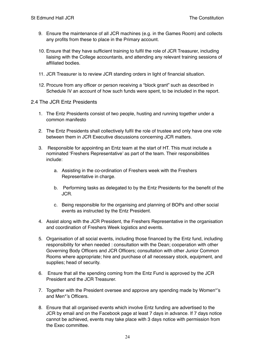- 9. Ensure the maintenance of all JCR machines (e.g. in the Games Room) and collects any profits from these to place in the Primary account.
- 10. Ensure that they have sufficient training to fulfil the role of JCR Treasurer, including liaising with the College accountants, and attending any relevant training sessions of affiliated bodies.
- 11. JCR Treasurer is to review JCR standing orders in light of financial situation.
- 12. Procure from any officer or person receiving a "block grant" such as described in Schedule IV an account of how such funds were spent, to be included in the report.

#### <span id="page-23-0"></span>2.4 The JCR Entz Presidents

- 1. The Entz Presidents consist of two people, husting and running together under a common manifesto
- 2. The Entz Presidents shall collectively fulfil the role of trustee and only have one vote between them in JCR Executive discussions concerning JCR matters.
- 3. Responsible for appointing an Entz team at the start of HT. This must include a nominated 'Freshers Representative' as part of the team. Their responsibilities include:
	- a. Assisting in the co-ordination of Freshers week with the Freshers Representative in charge.
	- b. Performing tasks as delegated to by the Entz Presidents for the benefit of the JCR.
	- c. Being responsible for the organising and planning of BOPs and other social events as instructed by the Entz President.
- 4. Assist along with the JCR President, the Freshers Representative in the organisation and coordination of Freshers Week logistics and events.
- 5. Organisation of all social events, including those financed by the Entz fund, including responsibility for when needed : consultation with the Dean; cooperation with other Governing Body Officers and JCR Officers; consultation with other Junior Common Rooms where appropriate; hire and purchase of all necessary stock, equipment, and supplies; head of security.
- 6. Ensure that all the spending coming from the Entz Fund is approved by the JCR President and the JCR Treasurer.
- 7. Together with the President oversee and approve any spending made by Women\*'s and Men\*'s Officers.
- 8. Ensure that all organised events which involve Entz funding are advertised to the JCR by email and on the Facebook page at least 7 days in advance. If 7 days notice cannot be achieved, events may take place with 3 days notice with permission from the Exec committee.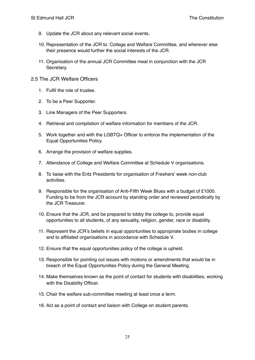- 9. Update the JCR about any relevant social events.
- 10. Representation of the JCR to: College and Welfare Committee, and wherever else their presence would further the social interests of the JCR.
- 11. Organisation of the annual JCR Committee meal in conjunction with the JCR Secretary.

#### <span id="page-24-0"></span>2.5 The JCR Welfare Officers

- 1. Fulfil the role of trustee.
- 2. To be a Peer Supporter.
- 3. Line Managers of the Peer Supporters.
- 4. Retrieval and compilation of welfare information for members of the JCR.
- 5. Work together and with the LGBTQ+ Officer to enforce the implementation of the Equal Opportunities Policy.
- 6. Arrange the provision of welfare supplies.
- 7. Attendance of College and Welfare Committee at Schedule V organisations.
- 8. To liaise with the Entz Presidents for organisation of Freshers' week non-club activities.
- 9. Responsible for the organisation of Anti-Fifth Week Blues with a budget of £1000. Funding to be from the JCR account by standing order and reviewed periodically by the JCR Treasurer.
- 10. Ensure that the JCR, and be prepared to lobby the college to, provide equal opportunities to all students, of any sexuality, religion, gender, race or disability.
- 11. Represent the JCR's beliefs in equal opportunities to appropriate bodies in college and to affiliated organisations in accordance with Schedule V.
- 12. Ensure that the equal opportunities policy of the college is upheld.
- 13. Responsible for pointing out issues with motions or amendments that would be in breach of the Equal Opportunities Policy during the General Meeting.
- 14. Make themselves known as the point of contact for students with disabilities, working with the Disability Officer.
- 15. Chair the welfare sub-committee meeting at least once a term.
- 16. Act as a point of contact and liaison with College on student parents.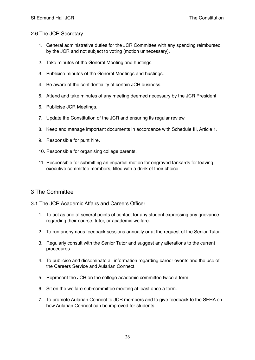#### <span id="page-25-0"></span>2.6 The JCR Secretary

- 1. General administrative duties for the JCR Committee with any spending reimbursed by the JCR and not subject to voting (motion unnecessary).
- 2. Take minutes of the General Meeting and hustings.
- 3. Publicise minutes of the General Meetings and hustings.
- 4. Be aware of the confidentiality of certain JCR business.
- 5. Attend and take minutes of any meeting deemed necessary by the JCR President.
- 6. Publicise JCR Meetings.
- 7. Update the Constitution of the JCR and ensuring its regular review.
- 8. Keep and manage important documents in accordance with Schedule III, Article 1.
- 9. Responsible for punt hire.
- 10. Responsible for organising college parents.
- 11. Responsible for submitting an impartial motion for engraved tankards for leaving executive committee members, filled with a drink of their choice.

# <span id="page-25-1"></span>3 The Committee

#### <span id="page-25-2"></span>3.1 The JCR Academic Affairs and Careers Officer

- 1. To act as one of several points of contact for any student expressing any grievance regarding their course, tutor, or academic welfare.
- 2. To run anonymous feedback sessions annually or at the request of the Senior Tutor.
- 3. Regularly consult with the Senior Tutor and suggest any alterations to the current procedures.
- 4. To publicise and disseminate all information regarding career events and the use of the Careers Service and Aularian Connect.
- 5. Represent the JCR on the college academic committee twice a term.
- 6. Sit on the welfare sub-committee meeting at least once a term.
- 7. To promote Aularian Connect to JCR members and to give feedback to the SEHA on how Aularian Connect can be improved for students.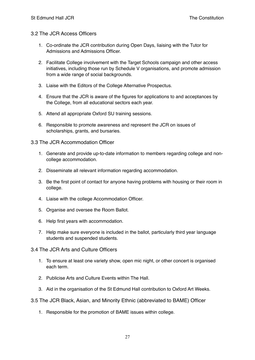#### <span id="page-26-0"></span>3.2 The JCR Access Officers

- 1. Co-ordinate the JCR contribution during Open Days, liaising with the Tutor for Admissions and Admissions Officer.
- 2. Facilitate College involvement with the Target Schools campaign and other access initiatives, including those run by Schedule V organisations, and promote admission from a wide range of social backgrounds.
- 3. Liaise with the Editors of the College Alternative Prospectus.
- 4. Ensure that the JCR is aware of the figures for applications to and acceptances by the College, from all educational sectors each year.
- 5. Attend all appropriate Oxford SU training sessions.
- 6. Responsible to promote awareness and represent the JCR on issues of scholarships, grants, and bursaries.

#### <span id="page-26-1"></span>3.3 The JCR Accommodation Officer

- 1. Generate and provide up-to-date information to members regarding college and noncollege accommodation.
- 2. Disseminate all relevant information regarding accommodation.
- 3. Be the first point of contact for anyone having problems with housing or their room in college.
- 4. Liaise with the college Accommodation Officer.
- 5. Organise and oversee the Room Ballot.
- 6. Help first years with accommodation.
- 7. Help make sure everyone is included in the ballot, particularly third year language students and suspended students.
- <span id="page-26-2"></span>3.4 The JCR Arts and Culture Officers
	- 1. To ensure at least one variety show, open mic night, or other concert is organised each term.
	- 2. Publicise Arts and Culture Events within The Hall.
	- 3. Aid in the organisation of the St Edmund Hall contribution to Oxford Art Weeks.
- <span id="page-26-3"></span>3.5 The JCR Black, Asian, and Minority Ethnic (abbreviated to BAME) Officer
	- 1. Responsible for the promotion of BAME issues within college.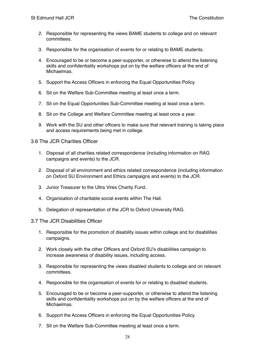- 2. Responsible for representing the views BAME students to college and on relevant committees.
- 3. Responsible for the organisation of events for or relating to BAME students.
- 4. Encouraged to be or become a peer-supporter, or otherwise to attend the listening skills and confidentiality workshops put on by the welfare officers at the end of Michaelmas.
- 5. Support the Access Officers in enforcing the Equal Opportunities Policy.
- 6. Sit on the Welfare Sub-Committee meeting at least once a term.
- 7. Sit on the Equal Opportunities Sub-Committee meeting at least once a term.
- 8. Sit on the College and Welfare Committee meeting at least once a year.
- 9. Work with the SU and other officers to make sure that relevant training is taking place and access requirements being met in college.

<span id="page-27-0"></span>3.6 The JCR Charities Officer

- 1. Disposal of all charities related correspondence (including information on RAG campaigns and events) to the JCR.
- 2. Disposal of all environment and ethics related correspondence (including information on Oxford SU Environment and Ethics campaigns and events) to the JCR.
- 3. Junior Treasurer to the Ultra Vires Charity Fund.
- 4. Organisation of charitable social events within The Hall.
- 5. Delegation of representation of the JCR to Oxford University RAG.

#### <span id="page-27-1"></span>3.7 The JCR Disabilities Officer

- 1. Responsible for the promotion of disability issues within college and for disabilities campaigns.
- 2. Work closely with the other Officers and Oxford SU's disabilities campaign to increase awareness of disability issues, including access.
- 3. Responsible for representing the views disabled students to college and on relevant committees.
- 4. Responsible for the organisation of events for or relating to disabled students.
- 5. Encouraged to be or become a peer-supporter, or otherwise to attend the listening skills and confidentiality workshops put on by the welfare officers at the end of Michaelmas.
- 6. Support the Access Officers in enforcing the Equal Opportunities Policy.
- 7. Sit on the Welfare Sub-Committee meeting at least once a term.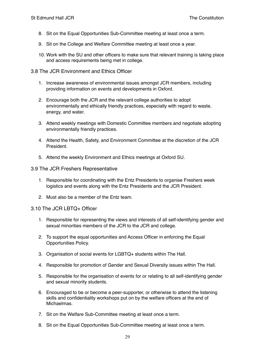- 8. Sit on the Equal Opportunities Sub-Committee meeting at least once a term.
- 9. Sit on the College and Welfare Committee meeting at least once a year.
- 10. Work with the SU and other officers to make sure that relevant training is taking place and access requirements being met in college.

<span id="page-28-0"></span>3.8 The JCR Environment and Ethics Officer

- 1. Increase awareness of environmental issues amongst JCR members, including providing information on events and developments in Oxford.
- 2. Encourage both the JCR and the relevant college authorities to adopt environmentally and ethically friendly practices, especially with regard to waste, energy, and water.
- 3. Attend weekly meetings with Domestic Committee members and negotiate adopting environmentally friendly practices.
- 4. Attend the Health, Safety, and Environment Committee at the discretion of the JCR President.
- 5. Attend the weekly Environment and Ethics meetings at Oxford SU.

#### <span id="page-28-1"></span>3.9 The JCR Freshers Representative

- 1. Responsible for coordinating with the Entz Presidents to organise Freshers week logistics and events along with the Entz Presidents and the JCR President.
- 2. Must also be a member of the Entz team.

#### <span id="page-28-2"></span>3.10 The JCR LBTQ+ Officer

- 1. Responsible for representing the views and interests of all self-identifying gender and sexual minorities members of the JCR to the JCR and college.
- 2. To support the equal opportunities and Access Officer in enforcing the Equal Opportunities Policy.
- 3. Organisation of social events for LGBTQ+ students within The Hall.
- 4. Responsible for promotion of Gender and Sexual Diversity issues within The Hall.
- 5. Responsible for the organisation of events for or relating to all self-identifying gender and sexual minority students.
- 6. Encouraged to be or become a peer-supporter, or otherwise to attend the listening skills and confidentiality workshops put on by the welfare officers at the end of Michaelmas.
- 7. Sit on the Welfare Sub-Committee meeting at least once a term.
- 8. Sit on the Equal Opportunities Sub-Committee meeting at least once a term.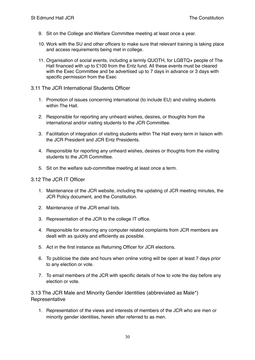- 9. Sit on the College and Welfare Committee meeting at least once a year.
- 10. Work with the SU and other officers to make sure that relevant training is taking place and access requirements being met in college.
- 11. Organisation of social events, including a termly QUOTH, for LGBTQ+ people of The Hall financed with up to £100 from the Entz fund. All these events must be cleared with the Exec Committee and be advertised up to 7 days in advance or 3 days with specific permission from the Exec

#### <span id="page-29-0"></span>3.11 The JCR International Students Officer

- 1. Promotion of issues concerning international (to include EU) and visiting students within The Hall.
- 2. Responsible for reporting any unheard wishes, desires, or thoughts from the international and/or visiting students to the JCR Committee.
- 3. Facilitation of integration of visiting students within The Hall every term in liaison with the JCR President and JCR Entz Presidents.
- 4. Responsible for reporting any unheard wishes, desires or thoughts from the visiting students to the JCR Committee.
- 5. Sit on the welfare sub-committee meeting at least once a term.

#### <span id="page-29-1"></span>3.12 The JCR IT Officer

- 1. Maintenance of the JCR website, including the updating of JCR meeting minutes, the JCR Policy document, and the Constitution.
- 2. Maintenance of the JCR email lists.
- 3. Representation of the JCR to the college IT office.
- 4. Responsible for ensuring any computer related complaints from JCR members are dealt with as quickly and efficiently as possible.
- 5. Act in the first instance as Returning Officer for JCR elections.
- 6. To publicise the date and hours when online voting will be open at least 7 days prior to any election or vote.
- 7. To email members of the JCR with specific details of how to vote the day before any election or vote.

<span id="page-29-2"></span>3.13 The JCR Male and Minority Gender Identities (abbreviated as Male\*) Representative

1. Representation of the views and interests of members of the JCR who are men or minority gender identities, herein after referred to as men.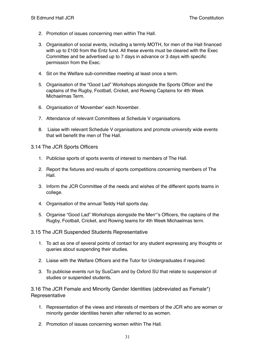- 2. Promotion of issues concerning men within The Hall.
- 3. Organisation of social events, including a termly MOTH, for men of the Hall financed with up to £100 from the Entz fund. All these events must be cleared with the Exec Committee and be advertised up to 7 days in advance or 3 days with specific permission from the Exec.
- 4. Sit on the Welfare sub-committee meeting at least once a term.
- 5. Organisation of the "Good Lad" Workshops alongside the Sports Officer and the captains of the Rugby, Football, Cricket, and Rowing Captains for 4th Week Michaelmas Term.
- 6. Organisation of 'Movember' each November.
- 7. Attendance of relevant Committees at Schedule V organisations.
- 8. Liaise with relevant Schedule V organisations and promote university wide events that will benefit the men of The Hall.

<span id="page-30-0"></span>3.14 The JCR Sports Officers

- 1. Publicise sports of sports events of interest to members of The Hall.
- 2. Report the fixtures and results of sports competitions concerning members of The Hall.
- 3. Inform the JCR Committee of the needs and wishes of the different sports teams in college.
- 4. Organisation of the annual Teddy Hall sports day.
- 5. Organise "Good Lad" Workshops alongside the Men\*'s Officers, the captains of the Rugby, Football, Cricket, and Rowing teams for 4th Week Michaelmas term.
- <span id="page-30-1"></span>3.15 The JCR Suspended Students Representative
	- 1. To act as one of several points of contact for any student expressing any thoughts or queries about suspending their studies.
	- 2. Liaise with the Welfare Officers and the Tutor for Undergraduates if required.
	- 3. To publicise events run by SusCam and by Oxford SU that relate to suspension of studies or suspended students.

<span id="page-30-2"></span>3.16 The JCR Female and Minority Gender Identities (abbreviated as Female\*) **Representative** 

- 1. Representation of the views and interests of members of the JCR who are women or minority gender identities herein after referred to as women.
- 2. Promotion of issues concerning women within The Hall.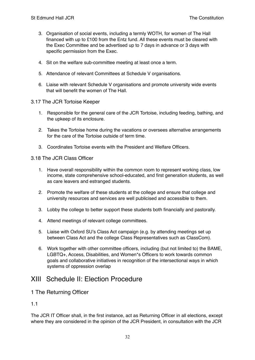- 3. Organisation of social events, including a termly WOTH, for women of The Hall financed with up to £100 from the Entz fund. All these events must be cleared with the Exec Committee and be advertised up to 7 days in advance or 3 days with specific permission from the Exec.
- 4. Sit on the welfare sub-committee meeting at least once a term.
- 5. Attendance of relevant Committees at Schedule V organisations.
- 6. Liaise with relevant Schedule V organisations and promote university wide events that will benefit the women of The Hall.
- 3.17 The JCR Tortoise Keeper
	- 1. Responsible for the general care of the JCR Tortoise, including feeding, bathing, and the upkeep of its enclosure.
	- 2. Takes the Tortoise home during the vacations or oversees alternative arrangements for the care of the Tortoise outside of term time.
	- 3. Coordinates Tortoise events with the President and Welfare Officers.

#### 3.18 The JCR Class Officer

- 1. Have overall responsibility within the common room to represent working class, low income, state comprehensive school-educated, and first generation students, as well as care leavers and estranged students.
- 2. Promote the welfare of these students at the college and ensure that college and university resources and services are well publicised and accessible to them.
- 3. Lobby the college to better support these students both financially and pastorally.
- 4. Attend meetings of relevant college committees.
- 5. Liaise with Oxford SU's Class Act campaign (e.g. by attending meetings set up between Class Act and the college Class Representatives such as ClassCom).
- 6. Work together with other committee officers, including (but not limited to) the BAME, LGBTQ+, Access, Disabilities, and Women\*s Officers to work towards common goals and collaborative initiatives in recognition of the intersectional ways in which systems of oppression overlap

# <span id="page-31-0"></span>XIII Schedule II: Election Procedure

#### <span id="page-31-1"></span>1 The Returning Officer

#### <span id="page-31-2"></span>1.1

The JCR IT Officer shall, in the first instance, act as Returning Officer in all elections, except where they are considered in the opinion of the JCR President, in consultation with the JCR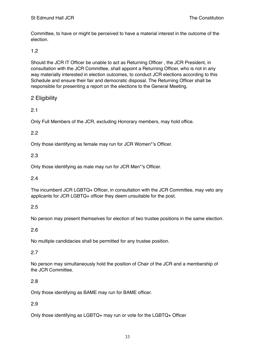Committee, to have or might be perceived to have a material interest in the outcome of the election.

#### <span id="page-32-0"></span>1.2

Should the JCR IT Officer be unable to act as Returning Officer , the JCR President, in consultation with the JCR Committee, shall appoint a Returning Officer, who is not in any way materially interested in election outcomes, to conduct JCR elections according to this Schedule and ensure their fair and democratic disposal. The Returning Officer shall be responsible for presenting a report on the elections to the General Meeting.

# <span id="page-32-1"></span>2 Eligibility

# <span id="page-32-2"></span>2.1

Only Full Members of the JCR, excluding Honorary members, may hold office.

#### <span id="page-32-3"></span>2.2

Only those identifying as female may run for JCR Women\*'s Officer.

#### <span id="page-32-4"></span>2.3

Only those identifying as male may run for JCR Men\*'s Officer.

#### <span id="page-32-5"></span>2.4

The incumbent JCR LGBTQ+ Officer, in consultation with the JCR Committee, may veto any applicants for JCR LGBTQ+ officer they deem unsuitable for the post.

#### <span id="page-32-6"></span>2.5

No person may present themselves for election of two trustee positions in the same election.

#### <span id="page-32-7"></span>2.6

No multiple candidacies shall be permitted for any trustee position.

#### <span id="page-32-8"></span>2.7

No person may simultaneously hold the position of Chair of the JCR and a membership of the JCR Committee.

# <span id="page-32-9"></span>2.8

Only those identifying as BAME may run for BAME officer.

#### <span id="page-32-10"></span>2.9

Only those identifying as LGBTQ+ may run or vote for the LGBTQ+ Officer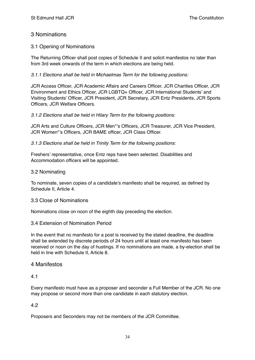# <span id="page-33-0"></span>3 Nominations

#### <span id="page-33-1"></span>3.1 Opening of Nominations

The Returning Officer shall post copies of Schedule II and solicit manifestos no later than from 3rd week onwards of the term in which elections are being held.

*3.1.1 Elections shall be held in Michaelmas Term for the following positions:*

JCR Access Officer, JCR Academic Affairs and Careers Officer, JCR Charities Officer, JCR Environment and Ethics Officer, JCR LGBTQ+ Officer, JCR International Students' and Visiting Students' Officer, JCR President, JCR Secretary, JCR Entz Presidents, JCR Sports Officers, JCR Welfare Officers.

#### *3.1.2 Elections shall be held in Hilary Term for the following positions:*

JCR Arts and Culture Officers, JCR Men\*'s Officers, JCR Treasurer, JCR Vice President, JCR Women\*'s Officers, JCR BAME officer, JCR Class Officer.

*3.1.3 Elections shall be held in Trinity Term for the following positions:*

Freshers' representative, once Entz reps have been selected. Disabilities and Accommodation officers will be appointed.

#### <span id="page-33-2"></span>3.2 Nominating

To nominate, seven copies of a candidate's manifesto shall be required, as defined by Schedule II, Article 4.

#### <span id="page-33-3"></span>3.3 Close of Nominations

Nominations close on noon of the eighth day preceding the election.

#### <span id="page-33-4"></span>3.4 Extension of Nomination Period

In the event that no manifesto for a post is received by the stated deadline, the deadline shall be extended by discrete periods of 24 hours until at least one manifesto has been received or noon on the day of hustings. If no nominations are made, a by-election shall be held in line with Schedule II, Article 8.

#### <span id="page-33-5"></span>4 Manifestos

#### <span id="page-33-6"></span>4.1

Every manifesto must have as a proposer and seconder a Full Member of the JCR. No one may propose or second more than one candidate in each statutory election.

#### <span id="page-33-7"></span>4.2

Proposers and Seconders may not be members of the JCR Committee.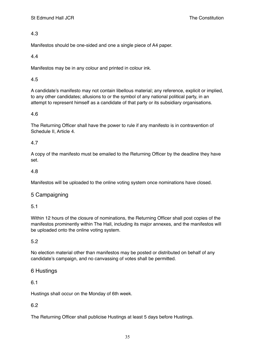<span id="page-34-0"></span>Manifestos should be one-sided and one a single piece of A4 paper.

# <span id="page-34-1"></span>4.4

Manifestos may be in any colour and printed in colour ink.

# <span id="page-34-2"></span>4.5

A candidate's manifesto may not contain libellous material; any reference, explicit or implied, to any other candidates; allusions to or the symbol of any national political party, in an attempt to represent himself as a candidate of that party or its subsidiary organisations.

# <span id="page-34-3"></span>4.6

The Returning Officer shall have the power to rule if any manifesto is in contravention of Schedule II, Article 4.

# <span id="page-34-4"></span>4.7

A copy of the manifesto must be emailed to the Returning Officer by the deadline they have set.

# <span id="page-34-5"></span>4.8

Manifestos will be uploaded to the online voting system once nominations have closed.

# <span id="page-34-6"></span>5 Campaigning

# <span id="page-34-7"></span>5.1

Within 12 hours of the closure of nominations, the Returning Officer shall post copies of the manifestos prominently within The Hall, including its major annexes, and the manifestos will be uploaded onto the online voting system.

# <span id="page-34-8"></span>5.2

No election material other than manifestos may be posted or distributed on behalf of any candidate's campaign, and no canvassing of votes shall be permitted.

# <span id="page-34-9"></span>6 Hustings

# <span id="page-34-10"></span>6.1

Hustings shall occur on the Monday of 6th week.

# <span id="page-34-11"></span>6.2

The Returning Officer shall publicise Hustings at least 5 days before Hustings.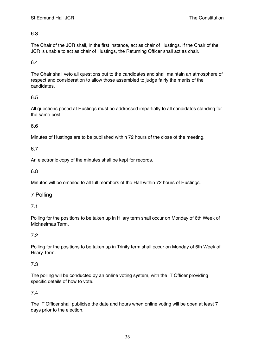<span id="page-35-0"></span>The Chair of the JCR shall, in the first instance, act as chair of Hustings. If the Chair of the JCR is unable to act as chair of Hustings, the Returning Officer shall act as chair.

#### <span id="page-35-1"></span>6.4

The Chair shall veto all questions put to the candidates and shall maintain an atmosphere of respect and consideration to allow those assembled to judge fairly the merits of the candidates.

#### <span id="page-35-2"></span>6.5

All questions posed at Hustings must be addressed impartially to all candidates standing for the same post.

# <span id="page-35-3"></span>6.6

Minutes of Hustings are to be published within 72 hours of the close of the meeting.

#### <span id="page-35-4"></span>6.7

An electronic copy of the minutes shall be kept for records.

#### <span id="page-35-5"></span>6.8

Minutes will be emailed to all full members of the Hall within 72 hours of Hustings.

# <span id="page-35-6"></span>7 Polling

#### <span id="page-35-7"></span>7.1

Polling for the positions to be taken up in Hilary term shall occur on Monday of 6th Week of Michaelmas Term.

# <span id="page-35-8"></span>7.2

Polling for the positions to be taken up in Trinity term shall occur on Monday of 6th Week of Hilary Term.

#### <span id="page-35-9"></span>7.3

The polling will be conducted by an online voting system, with the IT Officer providing specific details of how to vote.

#### <span id="page-35-10"></span>7.4

The IT Officer shall publicise the date and hours when online voting will be open at least 7 days prior to the election.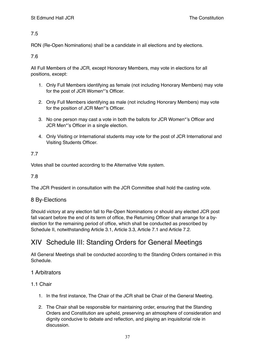<span id="page-36-0"></span>RON (Re-Open Nominations) shall be a candidate in all elections and by elections.

<span id="page-36-1"></span>7.6

All Full Members of the JCR, except Honorary Members, may vote in elections for all positions, except:

- 1. Only Full Members identifying as female (not including Honorary Members) may vote for the post of JCR Women\*'s Officer.
- 2. Only Full Members identifying as male (not including Honorary Members) may vote for the position of JCR Men\*'s Officer.
- 3. No one person may cast a vote in both the ballots for JCR Women\*'s Officer and JCR Men\*'s Officer in a single election.
- 4. Only Visiting or International students may vote for the post of JCR International and Visiting Students Officer.

# <span id="page-36-2"></span>7.7

Votes shall be counted according to the Alternative Vote system.

<span id="page-36-3"></span>7.8

The JCR President in consultation with the JCR Committee shall hold the casting vote.

# <span id="page-36-4"></span>8 By-Elections

Should victory at any election fall to Re-Open Nominations or should any elected JCR post fall vacant before the end of its term of office, the Returning Officer shall arrange for a byelection for the remaining period of office, which shall be conducted as prescribed by Schedule II, notwithstanding Article 3.1, Article 3.3, Article 7.1 and Article 7.2.

# <span id="page-36-5"></span>XIV Schedule III: Standing Orders for General Meetings

All General Meetings shall be conducted according to the Standing Orders contained in this Schedule.

# <span id="page-36-6"></span>1 Arbitrators

# <span id="page-36-7"></span>1.1 Chair

- 1. In the first instance, The Chair of the JCR shall be Chair of the General Meeting.
- 2. The Chair shall be responsible for maintaining order, ensuring that the Standing Orders and Constitution are upheld, preserving an atmosphere of consideration and dignity conducive to debate and reflection, and playing an inquisitorial role in discussion.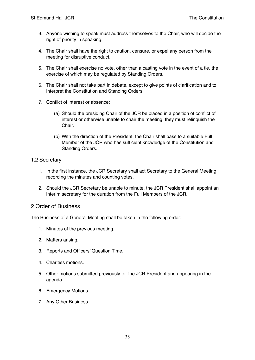- 3. Anyone wishing to speak must address themselves to the Chair, who will decide the right of priority in speaking.
- 4. The Chair shall have the right to caution, censure, or expel any person from the meeting for disruptive conduct.
- 5. The Chair shall exercise no vote, other than a casting vote in the event of a tie, the exercise of which may be regulated by Standing Orders.
- 6. The Chair shall not take part in debate, except to give points of clarification and to interpret the Constitution and Standing Orders.
- 7. Conflict of interest or absence:
	- (a) Should the presiding Chair of the JCR be placed in a position of conflict of interest or otherwise unable to chair the meeting, they must relinquish the Chair.
	- (b) With the direction of the President, the Chair shall pass to a suitable Full Member of the JCR who has sufficient knowledge of the Constitution and Standing Orders.

#### <span id="page-37-0"></span>1.2 Secretary

- 1. In the first instance, the JCR Secretary shall act Secretary to the General Meeting, recording the minutes and counting votes.
- 2. Should the JCR Secretary be unable to minute, the JCR President shall appoint an interim secretary for the duration from the Full Members of the JCR.

# <span id="page-37-1"></span>2 Order of Business

The Business of a General Meeting shall be taken in the following order:

- 1. Minutes of the previous meeting.
- 2. Matters arising.
- 3. Reports and Officers' Question Time.
- 4. Charities motions.
- 5. Other motions submitted previously to The JCR President and appearing in the agenda.
- 6. Emergency Motions.
- 7. Any Other Business.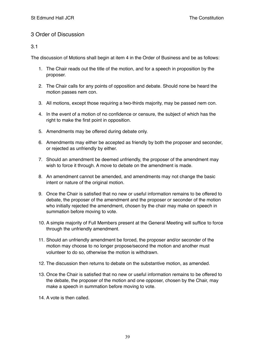# <span id="page-38-0"></span>3 Order of Discussion

#### <span id="page-38-1"></span>3.1

The discussion of Motions shall begin at item 4 in the Order of Business and be as follows:

- 1. The Chair reads out the title of the motion, and for a speech in proposition by the proposer.
- 2. The Chair calls for any points of opposition and debate. Should none be heard the motion passes nem con.
- 3. All motions, except those requiring a two-thirds majority, may be passed nem con.
- 4. In the event of a motion of no confidence or censure, the subject of which has the right to make the first point in opposition.
- 5. Amendments may be offered during debate only.
- 6. Amendments may either be accepted as friendly by both the proposer and seconder, or rejected as unfriendly by either.
- 7. Should an amendment be deemed unfriendly, the proposer of the amendment may wish to force it through. A move to debate on the amendment is made.
- 8. An amendment cannot be amended, and amendments may not change the basic intent or nature of the original motion.
- 9. Once the Chair is satisfied that no new or useful information remains to be offered to debate, the proposer of the amendment and the proposer or seconder of the motion who initially rejected the amendment, chosen by the chair may make on speech in summation before moving to vote.
- 10. A simple majority of Full Members present at the General Meeting will suffice to force through the unfriendly amendment.
- 11. Should an unfriendly amendment be forced, the proposer and/or seconder of the motion may choose to no longer propose/second the motion and another must volunteer to do so, otherwise the motion is withdrawn.
- 12. The discussion then returns to debate on the substantive motion, as amended.
- 13. Once the Chair is satisfied that no new or useful information remains to be offered to the debate, the proposer of the motion and one opposer, chosen by the Chair, may make a speech in summation before moving to vote.
- 14. A vote is then called.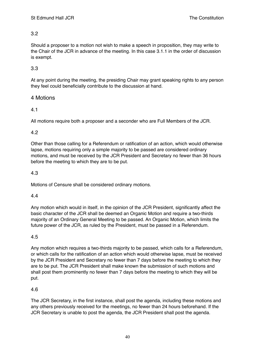<span id="page-39-0"></span>Should a proposer to a motion not wish to make a speech in proposition, they may write to the Chair of the JCR in advance of the meeting. In this case 3.1.1 in the order of discussion is exempt.

# <span id="page-39-1"></span>3.3

At any point during the meeting, the presiding Chair may grant speaking rights to any person they feel could beneficially contribute to the discussion at hand.

# <span id="page-39-2"></span>4 Motions

# <span id="page-39-3"></span>4.1

All motions require both a proposer and a seconder who are Full Members of the JCR.

#### <span id="page-39-4"></span>4.2

Other than those calling for a Referendum or ratification of an action, which would otherwise lapse, motions requiring only a simple majority to be passed are considered ordinary motions, and must be received by the JCR President and Secretary no fewer than 36 hours before the meeting to which they are to be put.

# <span id="page-39-5"></span>4.3

Motions of Censure shall be considered ordinary motions.

#### <span id="page-39-6"></span>4.4

Any motion which would in itself, in the opinion of the JCR President, significantly affect the basic character of the JCR shall be deemed an Organic Motion and require a two-thirds majority of an Ordinary General Meeting to be passed. An Organic Motion, which limits the future power of the JCR, as ruled by the President, must be passed in a Referendum.

# <span id="page-39-7"></span>4.5

Any motion which requires a two-thirds majority to be passed, which calls for a Referendum, or which calls for the ratification of an action which would otherwise lapse, must be received by the JCR President and Secretary no fewer than 7 days before the meeting to which they are to be put. The JCR President shall make known the submission of such motions and shall post them prominently no fewer than 7 days before the meeting to which they will be put.

# <span id="page-39-8"></span>4.6

The JCR Secretary, in the first instance, shall post the agenda, including these motions and any others previously received for the meetings, no fewer than 24 hours beforehand. If the JCR Secretary is unable to post the agenda, the JCR President shall post the agenda.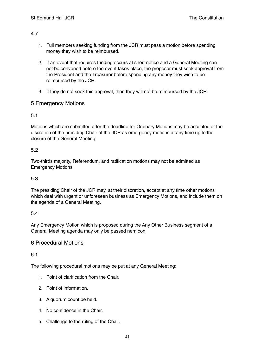- <span id="page-40-0"></span>1. Full members seeking funding from the JCR must pass a motion before spending money they wish to be reimbursed.
- 2. If an event that requires funding occurs at short notice and a General Meeting can not be convened before the event takes place, the proposer must seek approval from the President and the Treasurer before spending any money they wish to be reimbursed by the JCR.
- 3. If they do not seek this approval, then they will not be reimbursed by the JCR.

# <span id="page-40-1"></span>5 Emergency Motions

# <span id="page-40-2"></span>5.1

Motions which are submitted after the deadline for Ordinary Motions may be accepted at the discretion of the presiding Chair of the JCR as emergency motions at any time up to the closure of the General Meeting.

# <span id="page-40-3"></span>5.2

Two-thirds majority, Referendum, and ratification motions may not be admitted as Emergency Motions.

# <span id="page-40-4"></span>5.3

The presiding Chair of the JCR may, at their discretion, accept at any time other motions which deal with urgent or unforeseen business as Emergency Motions, and include them on the agenda of a General Meeting.

# <span id="page-40-5"></span>5.4

Any Emergency Motion which is proposed during the Any Other Business segment of a General Meeting agenda may only be passed nem con.

# <span id="page-40-6"></span>6 Procedural Motions

<span id="page-40-7"></span>6.1

The following procedural motions may be put at any General Meeting:

- 1. Point of clarification from the Chair.
- 2. Point of information.
- 3. A quorum count be held.
- 4. No confidence in the Chair.
- 5. Challenge to the ruling of the Chair.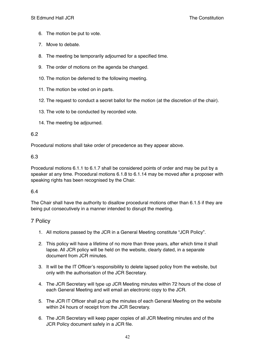- 6. The motion be put to vote.
- 7. Move to debate.
- 8. The meeting be temporarily adjourned for a specified time.
- 9. The order of motions on the agenda be changed.
- 10. The motion be deferred to the following meeting.
- 11. The motion be voted on in parts.
- 12. The request to conduct a secret ballot for the motion (at the discretion of the chair).
- 13. The vote to be conducted by recorded vote.
- 14. The meeting be adjourned.

<span id="page-41-0"></span>Procedural motions shall take order of precedence as they appear above.

#### <span id="page-41-1"></span>6.3

Procedural motions 6.1.1 to 6.1.7 shall be considered points of order and may be put by a speaker at any time. Procedural motions 6.1.8 to 6.1.14 may be moved after a proposer with speaking rights has been recognised by the Chair.

#### <span id="page-41-2"></span>6.4

The Chair shall have the authority to disallow procedural motions other than 6.1.5 if they are being put consecutively in a manner intended to disrupt the meeting.

# <span id="page-41-3"></span>7 Policy

- 1. All motions passed by the JCR in a General Meeting constitute "JCR Policy".
- 2. This policy will have a lifetime of no more than three years, after which time it shall lapse. All JCR policy will be held on the website, clearly dated, in a separate document from JCR minutes.
- 3. It will be the IT Officer's responsibility to delete lapsed policy from the website, but only with the authorisation of the JCR Secretary.
- 4. The JCR Secretary will type up JCR Meeting minutes within 72 hours of the close of each General Meeting and will email an electronic copy to the JCR.
- 5. The JCR IT Officer shall put up the minutes of each General Meeting on the website within 24 hours of receipt from the JCR Secretary.
- 6. The JCR Secretary will keep paper copies of all JCR Meeting minutes and of the JCR Policy document safely in a JCR file.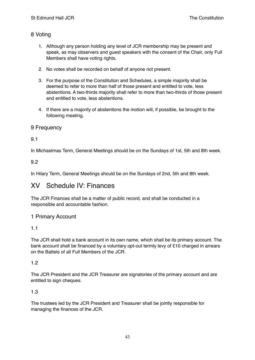# <span id="page-42-0"></span>8 Voting

- 1. Although any person holding any level of JCR membership may be present and speak, as may observers and guest speakers with the consent of the Chair, only Full Members shall have voting rights.
- 2. No votes shall be recorded on behalf of anyone not present.
- 3. For the purpose of the Constitution and Schedules, a simple majority shall be deemed to refer to more than half of those present and entitled to vote, less abstentions. A two-thirds majority shall refer to more than two-thirds of those present and entitled to vote, less abstentions.
- 4. If there are a majority of abstentions the motion will, if possible, be brought to the following meeting.

# <span id="page-42-1"></span>9 Frequency

# <span id="page-42-2"></span>9.1

In Michaelmas Term, General Meetings should be on the Sundays of 1st, 5th and 8th week.

# <span id="page-42-3"></span>9.2

In Hilary Term, General Meetings should be on the Sundays of 2nd, 5th and 8th week.

# <span id="page-42-4"></span>XV Schedule IV: Finances

The JCR Finances shall be a matter of public record, and shall be conducted in a responsible and accountable fashion.

# <span id="page-42-5"></span>1 Primary Account

# <span id="page-42-6"></span>1.1

The JCR shall hold a bank account in its own name, which shall be its primary account. The bank account shall be financed by a voluntary opt-out termly levy of £10 charged in arrears on the Battels of all Full Members of the JCR.

# <span id="page-42-7"></span>1.2

The JCR President and the JCR Treasurer are signatories of the primary account and are entitled to sign cheques.

# <span id="page-42-8"></span>1.3

The trustees led by the JCR President and Treasurer shall be jointly responsible for managing the finances of the JCR.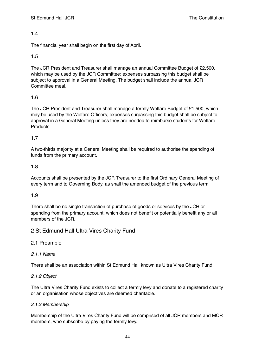<span id="page-43-0"></span>The financial year shall begin on the first day of April.

#### <span id="page-43-1"></span>1.5

The JCR President and Treasurer shall manage an annual Committee Budget of £2,500, which may be used by the JCR Committee; expenses surpassing this budget shall be subject to approval in a General Meeting. The budget shall include the annual JCR Committee meal.

#### <span id="page-43-2"></span>1.6

The JCR President and Treasurer shall manage a termly Welfare Budget of £1,500, which may be used by the Welfare Officers; expenses surpassing this budget shall be subject to approval in a General Meeting unless they are needed to reimburse students for Welfare Products.

#### <span id="page-43-3"></span>1.7

A two-thirds majority at a General Meeting shall be required to authorise the spending of funds from the primary account.

#### <span id="page-43-4"></span>1.8

Accounts shall be presented by the JCR Treasurer to the first Ordinary General Meeting of every term and to Governing Body, as shall the amended budget of the previous term.

#### <span id="page-43-5"></span>1.9

There shall be no single transaction of purchase of goods or services by the JCR or spending from the primary account, which does not benefit or potentially benefit any or all members of the JCR.

# <span id="page-43-6"></span>2 St Edmund Hall Ultra Vires Charity Fund

# <span id="page-43-7"></span>2.1 Preamble

#### *2.1.1 Name*

There shall be an association within St Edmund Hall known as Ultra Vires Charity Fund.

#### *2.1.2 Object*

The Ultra Vires Charity Fund exists to collect a termly levy and donate to a registered charity or an organisation whose objectives are deemed charitable.

#### *2.1.3 Membership*

Membership of the Ultra Vires Charity Fund will be comprised of all JCR members and MCR members, who subscribe by paying the termly levy.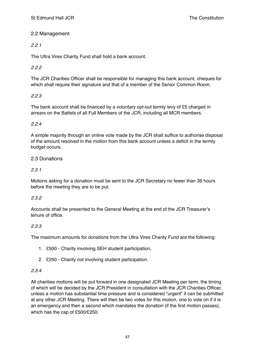# <span id="page-44-0"></span>2.2 Management

# *2.2.1*

The Ultra Vires Charity Fund shall hold a bank account.

# *2.2.2*

The JCR Charities Officer shall be responsible for managing this bank account, cheques for which shall require their signature and that of a member of the Senior Common Room.

#### *2.2.3*

The bank account shall be financed by a voluntary opt-out termly levy of £5 charged in arrears on the Battels of all Full Members of the JCR, including all MCR members.

#### *2.2.4*

A simple majority through an online vote made by the JCR shall suffice to authorise disposal of the amount resolved in the motion from this bank account unless a deficit in the termly budget occurs.

#### <span id="page-44-1"></span>2.3 Donations

#### *2.3.1*

Motions asking for a donation must be sent to the JCR Secretary no fewer than 36 hours before the meeting they are to be put.

#### *2.3.2*

Accounts shall be presented to the General Meeting at the end of the JCR Treasurer's tenure of office.

#### *2.3.3*

The maximum amounts for donations from the Ultra Vires Charity Fund are the following:

- 1. £500 Charity involving SEH student participation,
- 2. £250 Charity not involving student participation.

#### *2.3.4*

All charities motions will be put forward in one designated JCR Meeting per term, the timing of which will be decided by the JCR President in consultation with the JCR Charities Officer, unless a motion has substantial time pressure and is considered "urgent" it can be submitted at any other JCR Meeting. There will then be two votes for this motion, one to vote on if it is an emergency and then a second which mandates the donation (if the first motion passes), which has the cap of £500/£250.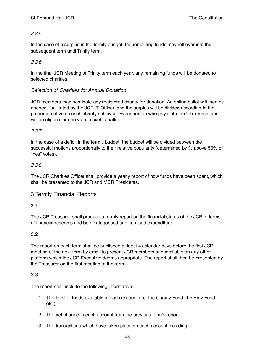#### *2.3.5*

In the case of a surplus in the termly budget, the remaining funds may roll over into the subsequent term until Trinity term.

#### *2.3.6*

In the final JCR Meeting of Trinity term each year, any remaining funds will be donated to selected charities.

#### *Selection of Charities for Annual Donation*

JCR members may nominate any registered charity for donation. An online ballot will then be opened, facilitated by the JCR IT Officer, and the surplus will be divided according to the proportion of votes each charity achieves. Every person who pays into the Ultra Vires fund will be eligible for one vote in such a ballot.

#### *2.3.7*

In the case of a deficit in the termly budget, the budget will be divided between the successful motions proportionally to their relative popularity (determined by % above 50% of "Yes" votes).

#### *2.3.8*

The JCR Charities Officer shall provide a yearly report of how funds have been spent, which shall be presented to the JCR and MCR Presidents.

# <span id="page-45-0"></span>3 Termly Financial Reports

#### 3.1

The JCR Treasurer shall produce a termly report on the financial status of the JCR in terms of financial reserves and both categorised and itemised expenditure.

# <span id="page-45-1"></span>3.2

The report on each term shall be published at least 4 calendar days before the first JCR meeting of the next term by email to present JCR members and available on any other platform which the JCR Executive deems appropriate. The report shall then be presented by the Treasurer on the first meeting of the term.

#### <span id="page-45-2"></span>3.3

The report shall include the following information:

- 1. The level of funds available in each account (i.e. the Charity Fund, the Entz Fund etc.).
- 2. The net change in each account from the previous term's report.
- 3. The transactions which have taken place on each account including: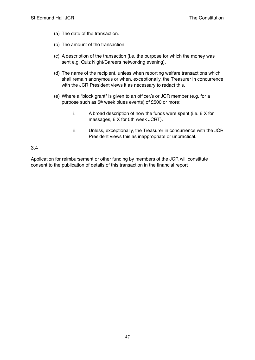- (a) The date of the transaction.
- (b) The amount of the transaction.
- (c) A description of the transaction (i.e. the purpose for which the money was sent e.g. Quiz Night/Careers networking evening).
- (d) The name of the recipient, unless when reporting welfare transactions which shall remain anonymous or when, exceptionally, the Treasurer in concurrence with the JCR President views it as necessary to redact this.
- (e) Where a "block grant" is given to an officer/s or JCR member (e.g. for a purpose such as 5th week blues events) of £500 or more:
	- i. A broad description of how the funds were spent (i.e. £ X for massages, £ X for 5th week JCRT).
	- ii. Unless, exceptionally, the Treasurer in concurrence with the JCR President views this as inappropriate or unpractical.

<span id="page-46-0"></span>Application for reimbursement or other funding by members of the JCR will constitute consent to the publication of details of this transaction in the financial report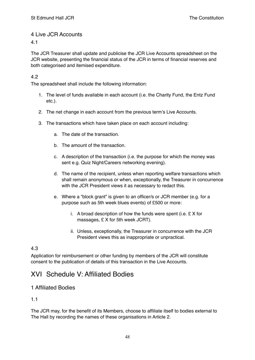# <span id="page-47-0"></span>4 Live JCR Accounts

<span id="page-47-1"></span>4.1

<span id="page-47-2"></span>The JCR Treasurer shall update and publicise the JCR Live Accounts spreadsheet on the JCR website, presenting the financial status of the JCR in terms of financial reserves and both categorised and itemised expenditure.

#### <span id="page-47-3"></span>4.2

<span id="page-47-4"></span>The spreadsheet shall include the following information:

- <span id="page-47-5"></span>1. The level of funds available in each account (i.e. the Charity Fund, the Entz Fund etc.).
- <span id="page-47-6"></span>2. The net change in each account from the previous term's Live Accounts.
- <span id="page-47-11"></span><span id="page-47-10"></span><span id="page-47-9"></span><span id="page-47-8"></span><span id="page-47-7"></span>3. The transactions which have taken place on each account including:
	- a. The date of the transaction.
	- b. The amount of the transaction.
	- c. A description of the transaction (i.e. the purpose for which the money was sent e.g. Quiz Night/Careers networking evening).
	- d. The name of the recipient, unless when reporting welfare transactions which shall remain anonymous or when, exceptionally, the Treasurer in concurrence with the JCR President views it as necessary to redact this.
	- e. Where a "block grant" is given to an officer/s or JCR member (e.g. for a purpose such as 5th week blues events) of £500 or more:
		- i. A broad description of how the funds were spent (i.e.  $E$  X for massages, £ X for 5th week JCRT).
		- ii. Unless, exceptionally, the Treasurer in concurrence with the JCR President views this as inappropriate or unpractical.

# <span id="page-47-15"></span><span id="page-47-14"></span><span id="page-47-13"></span><span id="page-47-12"></span>4.3

<span id="page-47-16"></span>Application for reimbursement or other funding by members of the JCR will constitute consent to the publication of details of this transaction in the Live Accounts.

# <span id="page-47-17"></span>XVI Schedule V: Affiliated Bodies

# <span id="page-47-18"></span>1 Affiliated Bodies

<span id="page-47-19"></span>1.1

The JCR may, for the benefit of its Members, choose to affiliate itself to bodies external to The Hall by recording the names of these organisations in Article 2.